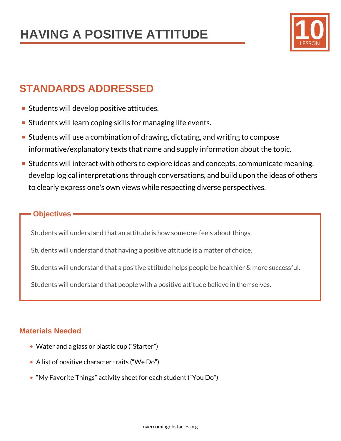

# **STANDARDS ADDRESSED**

- **Students will develop positive attitudes.**
- **Students will learn coping skills for managing life events.**
- Students will use a combination of drawing, dictating, and writing to compose informative/explanatory texts that name and supply information about the topic.
- **Students will interact with others to explore ideas and concepts, communicate meaning,** develop logical interpretations through conversations, and build upon the ideas of others to clearly express one's own views while respecting diverse perspectives.

## **Objectives**

Students will understand that an attitude is how someone feels about things.

Students will understand that having a positive attitude is a matter of choice.

Students will understand that a positive attitude helps people be healthier & more successful.

Students will understand that people with a positive attitude believe in themselves.

## **Materials Needed**

- Water and a glass or plastic cup ("Starter")
- A list of positive character traits ("We Do")
- "My Favorite Things" activity sheet for each student ("You Do")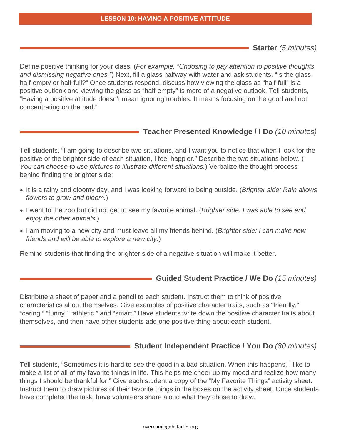#### **LESSON 10: HAVING A POSITIVE ATTITUDE**

**Starter** (5 minutes)

Define positive thinking for your class. (For example, "Choosing to pay attention to positive thoughts and dismissing negative ones.") Next, fill a glass halfway with water and ask students, "Is the glass half-empty or half-full?" Once students respond, discuss how viewing the glass as "half-full" is a positive outlook and viewing the glass as "half-empty" is more of a negative outlook. Tell students, "Having a positive attitude doesn't mean ignoring troubles. It means focusing on the good and not concentrating on the bad."

### **Teacher Presented Knowledge / I Do** (10 minutes)

Tell students, "I am going to describe two situations, and I want you to notice that when I look for the positive or the brighter side of each situation, I feel happier." Describe the two situations below. ( You can choose to use pictures to illustrate different situations.) Verbalize the thought process behind finding the brighter side:

- It is a rainy and gloomy day, and I was looking forward to being outside. (Brighter side: Rain allows flowers to grow and bloom.)
- I went to the zoo but did not get to see my favorite animal. (Brighter side: I was able to see and enjoy the other animals.)
- I am moving to a new city and must leave all my friends behind. (Brighter side: I can make new friends and will be able to explore a new city.)

Remind students that finding the brighter side of a negative situation will make it better.

### **Guided Student Practice / We Do** (15 minutes)

Distribute a sheet of paper and a pencil to each student. Instruct them to think of positive characteristics about themselves. Give examples of positive character traits, such as "friendly," "caring," "funny," "athletic," and "smart." Have students write down the positive character traits about themselves, and then have other students add one positive thing about each student.

### **Student Independent Practice / You Do** (30 minutes)

Tell students, "Sometimes it is hard to see the good in a bad situation. When this happens, I like to make a list of all of my favorite things in life. This helps me cheer up my mood and realize how many things I should be thankful for." Give each student a copy of the "My Favorite Things" activity sheet. Instruct them to draw pictures of their favorite things in the boxes on the activity sheet. Once students have completed the task, have volunteers share aloud what they chose to draw.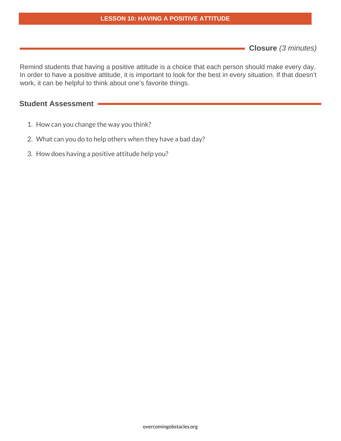#### **LESSON 10: HAVING A POSITIVE ATTITUDE**

**Closure** (3 minutes)

Remind students that having a positive attitude is a choice that each person should make every day. In order to have a positive attitude, it is important to look for the best in every situation. If that doesn't work, it can be helpful to think about one's favorite things.

### **Student Assessment**

- 1. How can you change the way you think?
- 2. What can you do to help others when they have a bad day?
- 3. How does having a positive attitude help you?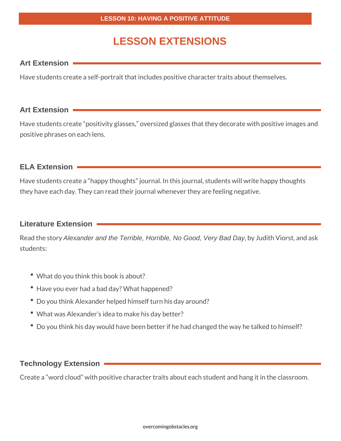# **LESSON EXTENSIONS**

### **Art Extension**

Have students create a self-portrait that includes positive character traits about themselves.

### **Art Extension**

Have students create "positivity glasses," oversized glasses that they decorate with positive images and positive phrases on each lens.

## **ELA Extension**

Have students create a "happy thoughts" journal. In this journal, students will write happy thoughts they have each day. They can read their journal whenever they are feeling negative.

## **Literature Extension**

Read the story Alexander and the Terrible, Horrible, No Good, Very Bad Day, by Judith Viorst, and ask students:

- What do you think this book is about?
- Have you ever had a bad day? What happened?
- Do you think Alexander helped himself turn his day around?
- What was Alexander's idea to make his day better?
- Do you think his day would have been better if he had changed the way he talked to himself?

### **Technology Extension**

Create a "word cloud" with positive character traits about each student and hang it in the classroom.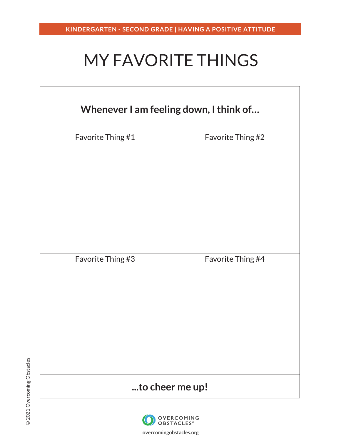# MY FAVORITE THINGS

| Whenever I am feeling down, I think of |                   |
|----------------------------------------|-------------------|
| Favorite Thing #1                      | Favorite Thing #2 |
| Favorite Thing #3                      | Favorite Thing #4 |
|                                        | to cheer me up!   |



**overcomingobstacles.org**